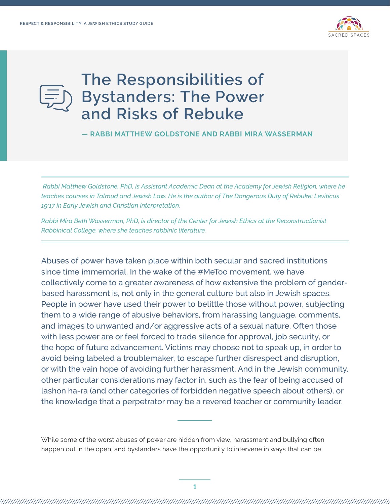



**— RABBI MATTHEW GOLDSTONE AND RABBI MIRA WASSERMAN**

 *Rabbi Matthew Goldstone, PhD, is Assistant Academic Dean at the Academy for Jewish Religion, where he teaches courses in Talmud and Jewish Law. He is the author of The Dangerous Duty of Rebuke: Leviticus 19:17 in Early Jewish and Christian Interpretation.* 

*Rabbi Mira Beth Wasserman, PhD, is director of the Center for Jewish Ethics at the Reconstructionist Rabbinical College, where she teaches rabbinic literature.*

Abuses of power have taken place within both secular and sacred institutions since time immemorial. In the wake of the #MeToo movement, we have collectively come to a greater awareness of how extensive the problem of genderbased harassment is, not only in the general culture but also in Jewish spaces. People in power have used their power to belittle those without power, subjecting them to a wide range of abusive behaviors, from harassing language, comments, and images to unwanted and/or aggressive acts of a sexual nature. Often those with less power are or feel forced to trade silence for approval, job security, or the hope of future advancement. Victims may choose not to speak up, in order to avoid being labeled a troublemaker, to escape further disrespect and disruption, or with the vain hope of avoiding further harassment. And in the Jewish community, other particular considerations may factor in, such as the fear of being accused of lashon ha-ra (and other categories of forbidden negative speech about others), or the knowledge that a perpetrator may be a revered teacher or community leader.

While some of the worst abuses of power are hidden from view, harassment and bullying often happen out in the open, and bystanders have the opportunity to intervene in ways that can be

,,,,,,,,,,,,,,,,,,,,,,,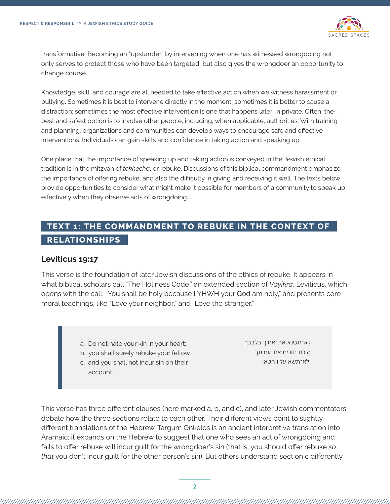

transformative. Becoming an "upstander" by intervening when one has witnessed wrongdoing not only serves to protect those who have been targeted, but also gives the wrongdoer an opportunity to change course.

Knowledge, skill, and courage are all needed to take effective action when we witness harassment or bullying. Sometimes it is best to intervene directly in the moment; sometimes it is better to cause a distraction; sometimes the most effective intervention is one that happens later, in private. Often, the best and safest option is to involve other people, including, when applicable, authorities. With training and planning, organizations and communities can develop ways to encourage safe and effective interventions. Individuals can gain skills and confidence in taking action and speaking up.

One place that the importance of speaking up and taking action is conveyed in the Jewish ethical tradition is in the mitzvah of *tokhecha*, or rebuke. Discussions of this biblical commandment emphasize the importance of offering rebuke, and also the difficulty in giving and receiving it well. The texts below provide opportunities to consider what might make it possible for members of a community to speak up effectively when they observe acts of wrongdoing.

## **TEXT 1: THE COMMANDMENT TO REBUKE IN THE CONTEXT OF RELATIONSHIPS**

#### **Leviticus 19:17**

This verse is the foundation of later Jewish discussions of the ethics of rebuke. It appears in what biblical scholars call "The Holiness Code," an extended section of *Vayikra*, Leviticus, which opens with the call, "You shall be holy because I YHWH your God am holy," and presents core moral teachings, like "Love your neighbor," and "Love the stranger."

- a. Do not hate your kin in your heart;
- b. you shall surely rebuke your fellow
- c. and you shall not incur sin on their account.

לא־תשנא את־אחיך בלבבך הוכח תוכיח את־עמיתך ולא־תשא עליו חטא׃

This verse has three different clauses (here marked a, b, and c), and later Jewish commentators debate how the three sections relate to each other. Their different views point to slightly different translations of the Hebrew. Targum Onkelos is an ancient interpretive translation into Aramaic; it expands on the Hebrew to suggest that one who sees an act of wrongdoing and fails to offer rebuke will incur guilt for the wrongdoer's sin (that is, you should offer rebuke *so that* you don't incur guilt for the other person's sin). But others understand section c differently.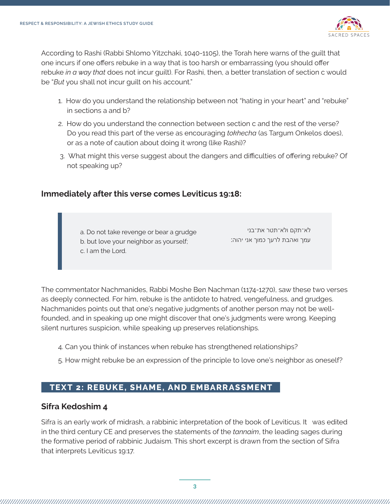

According to Rashi (Rabbi Shlomo Yitzchaki, 1040-1105), the Torah here warns of the guilt that one incurs if one offers rebuke in a way that is too harsh or embarrassing (you should offer rebuke *in a way that* does not incur guilt). For Rashi, then, a better translation of section c would be "*But* you shall not incur guilt on his account."

- 1. How do you understand the relationship between not "hating in your heart" and "rebuke" in sections a and b?
- 2. How do you understand the connection between section c and the rest of the verse? Do you read this part of the verse as encouraging *tokhecha* (as Targum Onkelos does), or as a note of caution about doing it wrong (like Rashi)?
- 3. What might this verse suggest about the dangers and difficulties of offering rebuke? Of not speaking up?

### **Immediately after this verse comes Leviticus 19:18:**

a. Do not take revenge or bear a grudge

- b. but love your neighbor as yourself;
- c. I am the Lord.

לא־תקם ולא־תטר את־בני עמך ואהבת לרעך כמוך אני יהוה׃

The commentator Nachmanides, Rabbi Moshe Ben Nachman (1174-1270), saw these two verses as deeply connected. For him, rebuke is the antidote to hatred, vengefulness, and grudges. Nachmanides points out that one's negative judgments of another person may not be wellfounded, and in speaking up one might discover that one's judgments were wrong. Keeping silent nurtures suspicion, while speaking up preserves relationships.

- 4. Can you think of instances when rebuke has strengthened relationships?
- 5. How might rebuke be an expression of the principle to love one's neighbor as oneself?

## **TEXT 2: REBUKE, SHAME, AND EMBARRASSMENT**

### **Sifra Kedoshim 4**

Sifra is an early work of midrash, a rabbinic interpretation of the book of Leviticus. It was edited in the third century CE and preserves the statements of the *tannaim*, the leading sages during the formative period of rabbinic Judaism. This short excerpt is drawn from the section of Sifra that interprets Leviticus 19:17.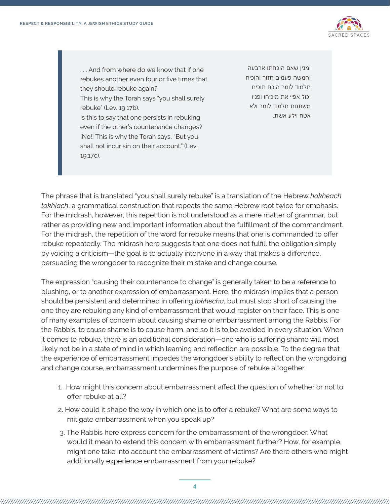19:17c).



. . . And from where do we know that if one rebukes another even four or five times that they should rebuke again? This is why the Torah says "you shall surely rebuke" (Lev. 19:17b). Is this to say that one persists in rebuking even if the other's countenance changes? [No!] This is why the Torah says, "But you shall not incur sin on their account." (Lev.

ומנין שאם הוכחתו ארבעה וחמשה פעמים חזור והוכיח תלמוד לומר הוכח תוכיח יכול אפי' את מוכיחו ופניו משתנות תלמוד לומר ולא אטח וילע אשת.

The phrase that is translated "you shall surely rebuke" is a translation of the Hebrew *hokheach tokhiach*, a grammatical construction that repeats the same Hebrew root twice for emphasis. For the midrash, however, this repetition is not understood as a mere matter of grammar, but rather as providing new and important information about the fulfillment of the commandment. For the midrash, the repetition of the word for rebuke means that one is commanded to offer rebuke repeatedly. The midrash here suggests that one does not fulfill the obligation simply by voicing a criticism—the goal is to actually intervene in a way that makes a difference, persuading the wrongdoer to recognize their mistake and change course.

The expression "causing their countenance to change" is generally taken to be a reference to blushing, or to another expression of embarrassment. Here, the midrash implies that a person should be persistent and determined in offering *tokhecha*, but must stop short of causing the one they are rebuking any kind of embarrassment that would register on their face. This is one of many examples of concern about causing shame or embarrassment among the Rabbis. For the Rabbis, to cause shame is to cause harm, and so it is to be avoided in every situation. When it comes to rebuke, there is an additional consideration—one who is suffering shame will most likely not be in a state of mind in which learning and reflection are possible. To the degree that the experience of embarrassment impedes the wrongdoer's ability to reflect on the wrongdoing and change course, embarrassment undermines the purpose of rebuke altogether.

- 1. How might this concern about embarrassment affect the question of whether or not to offer rebuke at all?
- 2. How could it shape the way in which one is to offer a rebuke? What are some ways to mitigate embarrassment when you speak up?
- 3. The Rabbis here express concern for the embarrassment of the wrongdoer. What would it mean to extend this concern with embarrassment further? How, for example, might one take into account the embarrassment of victims? Are there others who might additionally experience embarrassment from your rebuke?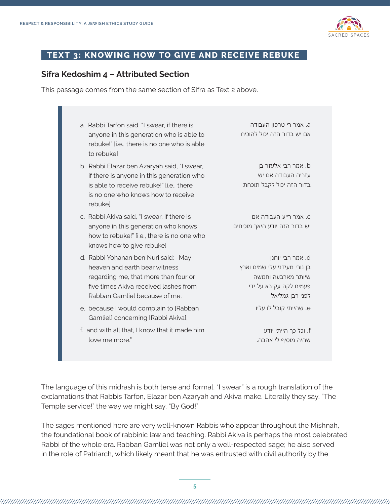

### **TEXT 3: KNOWING HOW TO GIVE AND RECEIVE REBUKE**

### **Sifra Kedoshim 4 – Attributed Section**

This passage comes from the same section of Sifra as Text 2 above.

| a. Rabbi Tarfon said, "I swear, if there is<br>anyone in this generation who is able to<br>rebuke!" [i.e., there is no one who is able<br>to rebukel                                   | a. אמר ר׳ טרפון העבודה<br>אם יש בדור הזה יכול להוכיח                                                                |
|----------------------------------------------------------------------------------------------------------------------------------------------------------------------------------------|---------------------------------------------------------------------------------------------------------------------|
| b. Rabbi Elazar ben Azaryah said, "I swear,<br>if there is anyone in this generation who<br>is able to receive rebuke!" [i.e., there<br>is no one who knows how to receive<br>rebukel  | b. אמר רבי אלעזר בן<br>עזריה העבודה אם יש<br>בדור הזה יכול לקבל תוכחת                                               |
| c. Rabbi Akiva said, "I swear, if there is<br>anyone in this generation who knows<br>how to rebuke!" [i.e., there is no one who<br>knows how to give rebukel                           | c. אמר ר״ע העבודה אם<br>יש בדור הזה יודע היאך מוכיחים                                                               |
| d. Rabbi Yohanan ben Nuri said: May<br>heaven and earth bear witness<br>regarding me, that more than four or<br>five times Akiva received lashes from<br>Rabban Gamliel because of me, | d. אמר רבי יוחנן<br>בן נורי מעידני עלי שמים וארץ<br>שיותר מארבעה וחמשה<br>פעמים לקה עקיבא על ידי<br>לפני רבן גמליאל |
| e. because I would complain to [Rabban<br>Gamliell concerning [Rabbi Akiva],                                                                                                           | e. שהייתי קובל לו עליו                                                                                              |
| f. and with all that, I know that it made him<br>love me more."                                                                                                                        | f. וכל כך הייתי יודע<br>שהיה מוסיף לי אהבה.                                                                         |

The language of this midrash is both terse and formal. "I swear" is a rough translation of the exclamations that Rabbis Tarfon, Elazar ben Azaryah and Akiva make. Literally they say, "The Temple service!" the way we might say, "By God!"

The sages mentioned here are very well-known Rabbis who appear throughout the Mishnah, the foundational book of rabbinic law and teaching. Rabbi Akiva is perhaps the most celebrated Rabbi of the whole era. Rabban Gamliel was not only a well-respected sage; he also served in the role of Patriarch, which likely meant that he was entrusted with civil authority by the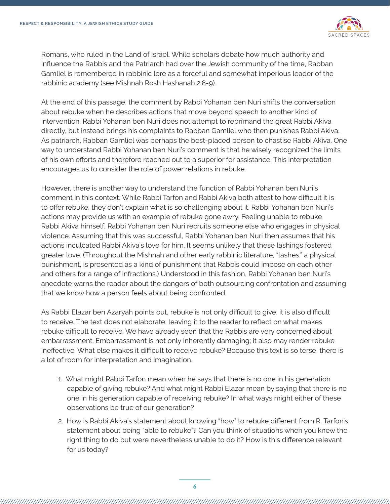

Romans, who ruled in the Land of Israel. While scholars debate how much authority and influence the Rabbis and the Patriarch had over the Jewish community of the time, Rabban Gamliel is remembered in rabbinic lore as a forceful and somewhat imperious leader of the rabbinic academy (see Mishnah Rosh Hashanah 2:8-9).

At the end of this passage, the comment by Rabbi Yohanan ben Nuri shifts the conversation about rebuke when he describes actions that move beyond speech to another kind of intervention. Rabbi Yohanan ben Nuri does not attempt to reprimand the great Rabbi Akiva directly, but instead brings his complaints to Rabban Gamliel who then punishes Rabbi Akiva. As patriarch, Rabban Gamliel was perhaps the best-placed person to chastise Rabbi Akiva. One way to understand Rabbi Yohanan ben Nuri's comment is that he wisely recognized the limits of his own efforts and therefore reached out to a superior for assistance. This interpretation encourages us to consider the role of power relations in rebuke.

However, there is another way to understand the function of Rabbi Yohanan ben Nuri's comment in this context. While Rabbi Tarfon and Rabbi Akiva both attest to how difficult it is to offer rebuke, they don't explain what is so challenging about it. Rabbi Yohanan ben Nuri's actions may provide us with an example of rebuke gone awry. Feeling unable to rebuke Rabbi Akiva himself, Rabbi Yohanan ben Nuri recruits someone else who engages in physical violence. Assuming that this was successful, Rabbi Yohanan ben Nuri then assumes that his actions inculcated Rabbi Akiva's love for him. It seems unlikely that these lashings fostered greater love. (Throughout the Mishnah and other early rabbinic literature, "lashes," a physical punishment, is presented as a kind of punishment that Rabbis could impose on each other and others for a range of infractions.) Understood in this fashion, Rabbi Yohanan ben Nuri's anecdote warns the reader about the dangers of both outsourcing confrontation and assuming that we know how a person feels about being confronted.

As Rabbi Elazar ben Azaryah points out, rebuke is not only difficult to give, it is also difficult to receive. The text does not elaborate, leaving it to the reader to reflect on what makes rebuke difficult to receive. We have already seen that the Rabbis are very concerned about embarrassment. Embarrassment is not only inherently damaging; it also may render rebuke ineffective. What else makes it difficult to receive rebuke? Because this text is so terse, there is a lot of room for interpretation and imagination.

- 1. What might Rabbi Tarfon mean when he says that there is no one in his generation capable of giving rebuke? And what might Rabbi Elazar mean by saying that there is no one in his generation capable of receiving rebuke? In what ways might either of these observations be true of our generation?
- 2. How is Rabbi Akiva's statement about knowing "how" to rebuke different from R. Tarfon's statement about being "able to rebuke"? Can you think of situations when you knew the right thing to do but were nevertheless unable to do it? How is this difference relevant for us today?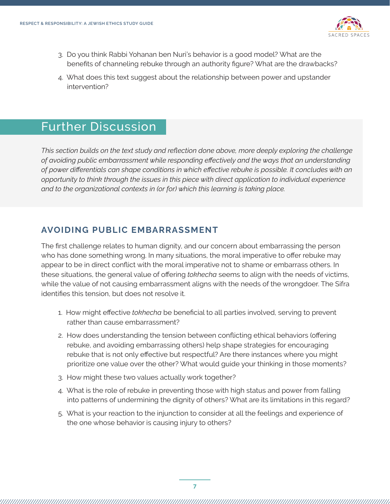

- 3. Do you think Rabbi Yohanan ben Nuri's behavior is a good model? What are the benefits of channeling rebuke through an authority figure? What are the drawbacks?
- 4. What does this text suggest about the relationship between power and upstander intervention?

# Further Discussion

*This section builds on the text study and reflection done above, more deeply exploring the challenge of avoiding public embarrassment while responding effectively and the ways that an understanding of power differentials can shape conditions in which effective rebuke is possible. It concludes with an opportunity to think through the issues in this piece with direct application to individual experience and to the organizational contexts in (or for) which this learning is taking place.*

## **AVOIDING PUBLIC EMBARRASSMENT**

The first challenge relates to human dignity, and our concern about embarrassing the person who has done something wrong. In many situations, the moral imperative to offer rebuke may appear to be in direct conflict with the moral imperative not to shame or embarrass others. In these situations, the general value of offering *tokhecha* seems to align with the needs of victims, while the value of not causing embarrassment aligns with the needs of the wrongdoer. The Sifra identifies this tension, but does not resolve it.

- 1. How might effective *tokhecha* be beneficial to all parties involved, serving to prevent rather than cause embarrassment?
- 2. How does understanding the tension between conflicting ethical behaviors (offering rebuke, and avoiding embarrassing others) help shape strategies for encouraging rebuke that is not only effective but respectful? Are there instances where you might prioritize one value over the other? What would guide your thinking in those moments?
- 3. How might these two values actually work together?
- 4. What is the role of rebuke in preventing those with high status and power from falling into patterns of undermining the dignity of others? What are its limitations in this regard?
- 5. What is your reaction to the injunction to consider at all the feelings and experience of the one whose behavior is causing injury to others?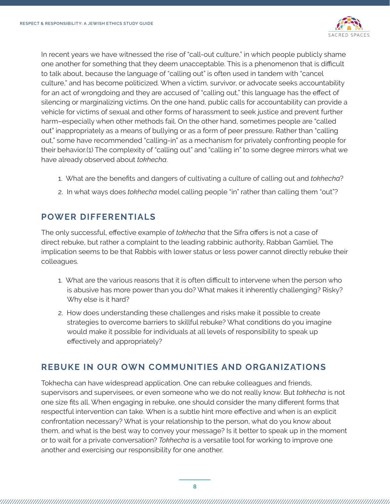

In recent years we have witnessed the rise of "call-out culture," in which people publicly shame one another for something that they deem unacceptable. This is a phenomenon that is difficult to talk about, because the language of "calling out" is often used in tandem with "cancel culture," and has become politicized. When a victim, survivor, or advocate seeks accountability for an act of wrongdoing and they are accused of "calling out," this language has the effect of silencing or marginalizing victims. On the one hand, public calls for accountability can provide a vehicle for victims of sexual and other forms of harassment to seek justice and prevent further harm–especially when other methods fail. On the other hand, sometimes people are "called out" inappropriately as a means of bullying or as a form of peer pressure. Rather than "calling out," some have recommended "calling-in" as a mechanism for privately confronting people for their behavior.(1) The complexity of "calling out" and "calling in" to some degree mirrors what we have already observed about *tokhecha*.

- 1. What are the benefits and dangers of cultivating a culture of calling out and *tokhecha*?
- 2. In what ways does *tokhecha* model calling people "in" rather than calling them "out"?

## **POWER DIFFERENTIALS**

The only successful, effective example of *tokhecha* that the Sifra offers is not a case of direct rebuke, but rather a complaint to the leading rabbinic authority, Rabban Gamliel. The implication seems to be that Rabbis with lower status or less power cannot directly rebuke their colleagues.

- 1. What are the various reasons that it is often difficult to intervene when the person who is abusive has more power than you do? What makes it inherently challenging? Risky? Why else is it hard?
- 2. How does understanding these challenges and risks make it possible to create strategies to overcome barriers to skillful rebuke? What conditions do you imagine would make it possible for individuals at all levels of responsibility to speak up effectively and appropriately?

### **REBUKE IN OUR OWN COMMUNITIES AND ORGANIZATIONS**

Tokhecha can have widespread application. One can rebuke colleagues and friends, supervisors and supervisees, or even someone who we do not really know. But *tokhecha* is not one size fits all. When engaging in rebuke, one should consider the many different forms that respectful intervention can take. When is a subtle hint more effective and when is an explicit confrontation necessary? What is your relationship to the person, what do you know about them, and what is the best way to convey your message? Is it better to speak up in the moment or to wait for a private conversation? *Tokhecha* is a versatile tool for working to improve one another and exercising our responsibility for one another.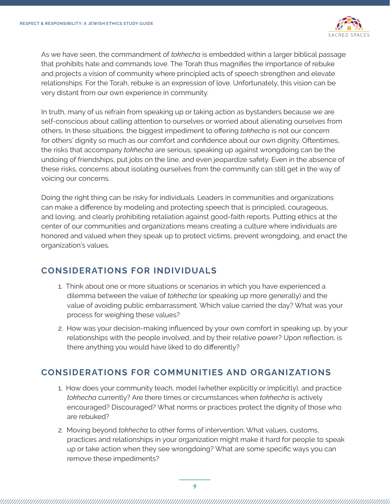

As we have seen, the commandment of *tokhecha* is embedded within a larger biblical passage that prohibits hate and commands love. The Torah thus magnifies the importance of rebuke and projects a vision of community where principled acts of speech strengthen and elevate relationships. For the Torah, rebuke is an expression of love. Unfortunately, this vision can be very distant from our own experience in community.

In truth, many of us refrain from speaking up or taking action as bystanders because we are self-conscious about calling attention to ourselves or worried about alienating ourselves from others. In these situations, the biggest impediment to offering *tokhecha* is not our concern for others' dignity so much as our comfort and confidence about our own dignity. Oftentimes, the risks that accompany *tokhecha* are serious; speaking up against wrongdoing can be the undoing of friendships, put jobs on the line, and even jeopardize safety. Even in the absence of these risks, concerns about isolating ourselves from the community can still get in the way of voicing our concerns.

Doing the right thing can be risky for individuals. Leaders in communities and organizations can make a difference by modeling and protecting speech that is principled, courageous, and loving, and clearly prohibiting retaliation against good-faith reports. Putting ethics at the center of our communities and organizations means creating a culture where individuals are honored and valued when they speak up to protect victims, prevent wrongdoing, and enact the organization's values.

## **CONSIDERATIONS FOR INDIVIDUALS**

- 1. Think about one or more situations or scenarios in which you have experienced a dilemma between the value of *tokhecha* (or speaking up more generally) and the value of avoiding public embarrassment. Which value carried the day? What was your process for weighing these values?
- 2. How was your decision-making influenced by your own comfort in speaking up, by your relationships with the people involved, and by their relative power? Upon reflection, is there anything you would have liked to do differently?

## **CONSIDERATIONS FOR COMMUNITIES AND ORGANIZATIONS**

- 1. How does your community teach, model (whether explicitly or implicitly), and practice *tokhecha* currently? Are there times or circumstances when *tokhecha* is actively encouraged? Discouraged? What norms or practices protect the dignity of those who are rebuked?
- 2. Moving beyond *tokhecha* to other forms of intervention: What values, customs, practices and relationships in your organization might make it hard for people to speak up or take action when they see wrongdoing? What are some specific ways you can remove these impediments?